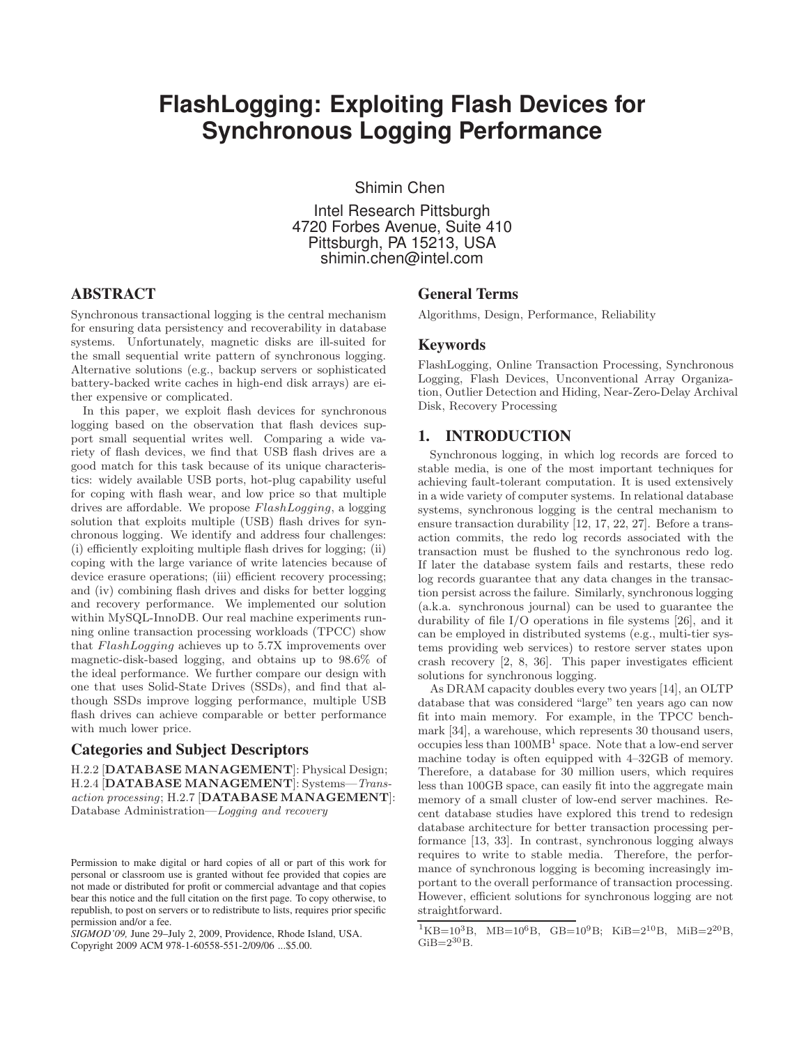# **FlashLogging: Exploiting Flash Devices for Synchronous Logging Performance**

Shimin Chen

Intel Research Pittsburgh 4720 Forbes Avenue, Suite 410 Pittsburgh, PA 15213, USA shimin.chen@intel.com

## **ABSTRACT**

Synchronous transactional logging is the central mechanism for ensuring data persistency and recoverability in database systems. Unfortunately, magnetic disks are ill-suited for the small sequential write pattern of synchronous logging. Alternative solutions (e.g., backup servers or sophisticated battery-backed write caches in high-end disk arrays) are either expensive or complicated.

In this paper, we exploit flash devices for synchronous logging based on the observation that flash devices support small sequential writes well. Comparing a wide variety of flash devices, we find that USB flash drives are a good match for this task because of its unique characteristics: widely available USB ports, hot-plug capability useful for coping with flash wear, and low price so that multiple drives are affordable. We propose FlashLogging, a logging solution that exploits multiple (USB) flash drives for synchronous logging. We identify and address four challenges: (i) efficiently exploiting multiple flash drives for logging; (ii) coping with the large variance of write latencies because of device erasure operations; (iii) efficient recovery processing; and (iv) combining flash drives and disks for better logging and recovery performance. We implemented our solution within MySQL-InnoDB. Our real machine experiments running online transaction processing workloads (TPCC) show that FlashLogging achieves up to 5.7X improvements over magnetic-disk-based logging, and obtains up to 98.6% of the ideal performance. We further compare our design with one that uses Solid-State Drives (SSDs), and find that although SSDs improve logging performance, multiple USB flash drives can achieve comparable or better performance with much lower price.

## **Categories and Subject Descriptors**

H.2.2 [DATABASE MANAGEMENT]: Physical Design; H.2.4 [DATABASE MANAGEMENT]: Systems—Transaction processing; H.2.7 [DATABASE MANAGEMENT]: Database Administration—Logging and recovery

*SIGMOD'09,* June 29–July 2, 2009, Providence, Rhode Island, USA. Copyright 2009 ACM 978-1-60558-551-2/09/06 ...\$5.00.

#### **General Terms**

Algorithms, Design, Performance, Reliability

#### **Keywords**

FlashLogging, Online Transaction Processing, Synchronous Logging, Flash Devices, Unconventional Array Organization, Outlier Detection and Hiding, Near-Zero-Delay Archival Disk, Recovery Processing

### **1. INTRODUCTION**

Synchronous logging, in which log records are forced to stable media, is one of the most important techniques for achieving fault-tolerant computation. It is used extensively in a wide variety of computer systems. In relational database systems, synchronous logging is the central mechanism to ensure transaction durability [12, 17, 22, 27]. Before a transaction commits, the redo log records associated with the transaction must be flushed to the synchronous redo log. If later the database system fails and restarts, these redo log records guarantee that any data changes in the transaction persist across the failure. Similarly, synchronous logging (a.k.a. synchronous journal) can be used to guarantee the durability of file I/O operations in file systems [26], and it can be employed in distributed systems (e.g., multi-tier systems providing web services) to restore server states upon crash recovery [2, 8, 36]. This paper investigates efficient solutions for synchronous logging.

As DRAM capacity doubles every two years [14], an OLTP database that was considered "large" ten years ago can now fit into main memory. For example, in the TPCC benchmark [34], a warehouse, which represents 30 thousand users, occupies less than  $100MB<sup>1</sup>$  space. Note that a low-end server machine today is often equipped with 4–32GB of memory. Therefore, a database for 30 million users, which requires less than 100GB space, can easily fit into the aggregate main memory of a small cluster of low-end server machines. Recent database studies have explored this trend to redesign database architecture for better transaction processing performance [13, 33]. In contrast, synchronous logging always requires to write to stable media. Therefore, the performance of synchronous logging is becoming increasingly important to the overall performance of transaction processing. However, efficient solutions for synchronous logging are not straightforward.

Permission to make digital or hard copies of all or part of this work for personal or classroom use is granted without fee provided that copies are not made or distributed for profit or commercial advantage and that copies bear this notice and the full citation on the first page. To copy otherwise, to republish, to post on servers or to redistribute to lists, requires prior specific permission and/or a fee.

<sup>&</sup>lt;sup>1</sup>KB=10<sup>3</sup>B, MB=10<sup>6</sup>B, GB=10<sup>9</sup>B; KiB=2<sup>10</sup>B, MiB=2<sup>20</sup>B,  $GiB=2^{30}B.$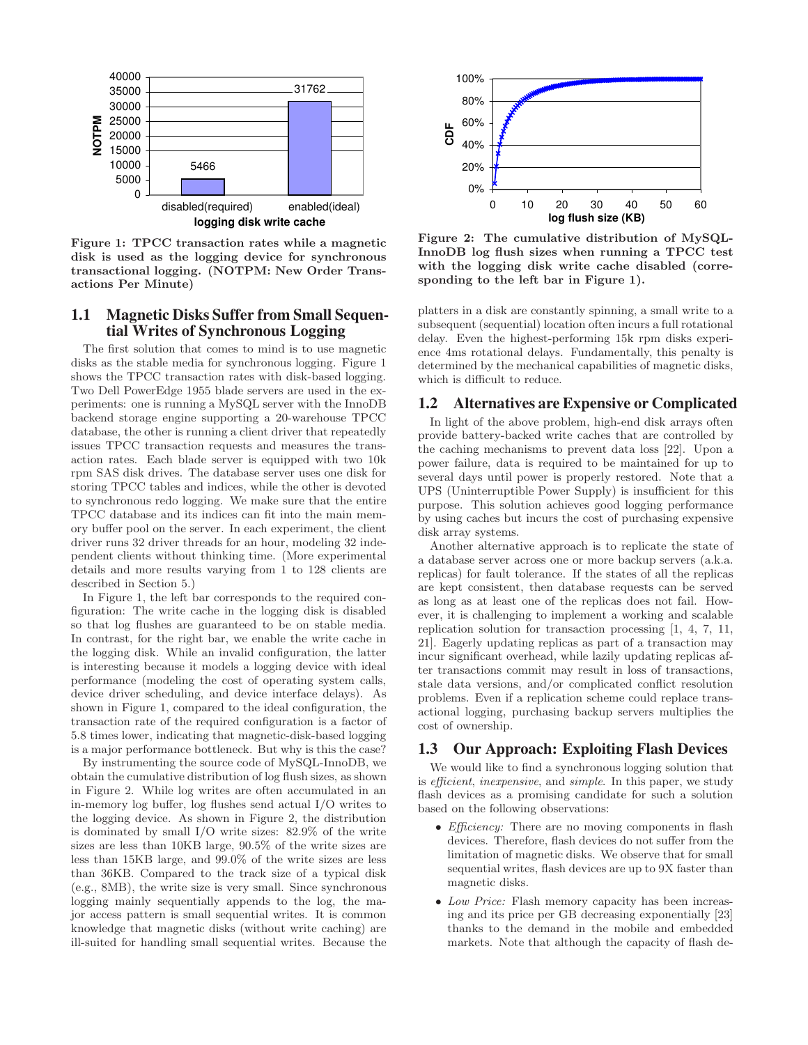

Figure 1: TPCC transaction rates while a magnetic disk is used as the logging device for synchronous transactional logging. (NOTPM: New Order Transactions Per Minute)

#### **1.1 Magnetic Disks Suffer from Small Sequential Writes of Synchronous Logging**

The first solution that comes to mind is to use magnetic disks as the stable media for synchronous logging. Figure 1 shows the TPCC transaction rates with disk-based logging. Two Dell PowerEdge 1955 blade servers are used in the experiments: one is running a MySQL server with the InnoDB backend storage engine supporting a 20-warehouse TPCC database, the other is running a client driver that repeatedly issues TPCC transaction requests and measures the transaction rates. Each blade server is equipped with two 10k rpm SAS disk drives. The database server uses one disk for storing TPCC tables and indices, while the other is devoted to synchronous redo logging. We make sure that the entire TPCC database and its indices can fit into the main memory buffer pool on the server. In each experiment, the client driver runs 32 driver threads for an hour, modeling 32 independent clients without thinking time. (More experimental details and more results varying from 1 to 128 clients are described in Section 5.)

In Figure 1, the left bar corresponds to the required configuration: The write cache in the logging disk is disabled so that log flushes are guaranteed to be on stable media. In contrast, for the right bar, we enable the write cache in the logging disk. While an invalid configuration, the latter is interesting because it models a logging device with ideal performance (modeling the cost of operating system calls, device driver scheduling, and device interface delays). As shown in Figure 1, compared to the ideal configuration, the transaction rate of the required configuration is a factor of 5.8 times lower, indicating that magnetic-disk-based logging is a major performance bottleneck. But why is this the case?

By instrumenting the source code of MySQL-InnoDB, we obtain the cumulative distribution of log flush sizes, as shown in Figure 2. While log writes are often accumulated in an in-memory log buffer, log flushes send actual I/O writes to the logging device. As shown in Figure 2, the distribution is dominated by small I/O write sizes: 82.9% of the write sizes are less than 10KB large, 90.5% of the write sizes are less than 15KB large, and 99.0% of the write sizes are less than 36KB. Compared to the track size of a typical disk (e.g., 8MB), the write size is very small. Since synchronous logging mainly sequentially appends to the log, the major access pattern is small sequential writes. It is common knowledge that magnetic disks (without write caching) are ill-suited for handling small sequential writes. Because the



Figure 2: The cumulative distribution of MySQL-InnoDB log flush sizes when running a TPCC test with the logging disk write cache disabled (corresponding to the left bar in Figure 1).

platters in a disk are constantly spinning, a small write to a subsequent (sequential) location often incurs a full rotational delay. Even the highest-performing 15k rpm disks experience 4ms rotational delays. Fundamentally, this penalty is determined by the mechanical capabilities of magnetic disks, which is difficult to reduce.

#### **1.2 Alternatives are Expensive or Complicated**

In light of the above problem, high-end disk arrays often provide battery-backed write caches that are controlled by the caching mechanisms to prevent data loss [22]. Upon a power failure, data is required to be maintained for up to several days until power is properly restored. Note that a UPS (Uninterruptible Power Supply) is insufficient for this purpose. This solution achieves good logging performance by using caches but incurs the cost of purchasing expensive disk array systems.

Another alternative approach is to replicate the state of a database server across one or more backup servers (a.k.a. replicas) for fault tolerance. If the states of all the replicas are kept consistent, then database requests can be served as long as at least one of the replicas does not fail. However, it is challenging to implement a working and scalable replication solution for transaction processing [1, 4, 7, 11, 21]. Eagerly updating replicas as part of a transaction may incur significant overhead, while lazily updating replicas after transactions commit may result in loss of transactions, stale data versions, and/or complicated conflict resolution problems. Even if a replication scheme could replace transactional logging, purchasing backup servers multiplies the cost of ownership.

#### **1.3 Our Approach: Exploiting Flash Devices**

We would like to find a synchronous logging solution that is efficient, inexpensive, and simple. In this paper, we study flash devices as a promising candidate for such a solution based on the following observations:

- Efficiency: There are no moving components in flash devices. Therefore, flash devices do not suffer from the limitation of magnetic disks. We observe that for small sequential writes, flash devices are up to 9X faster than magnetic disks.
- Low Price: Flash memory capacity has been increasing and its price per GB decreasing exponentially [23] thanks to the demand in the mobile and embedded markets. Note that although the capacity of flash de-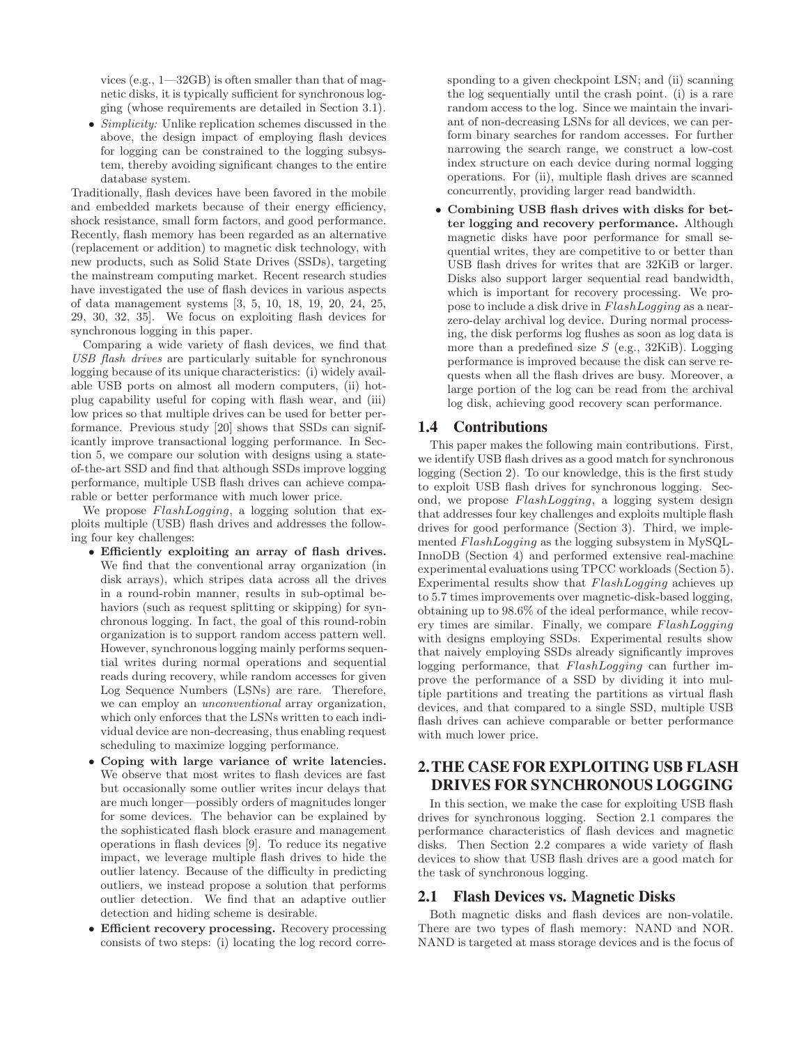vices (e.g., 1—32GB) is often smaller than that of magnetic disks, it is typically sufficient for synchronous logging (whose requirements are detailed in Section 3.1).

• Simplicity: Unlike replication schemes discussed in the above, the design impact of employing flash devices for logging can be constrained to the logging subsystem, thereby avoiding significant changes to the entire database system.

Traditionally, flash devices have been favored in the mobile and embedded markets because of their energy efficiency, shock resistance, small form factors, and good performance. Recently, flash memory has been regarded as an alternative (replacement or addition) to magnetic disk technology, with new products, such as Solid State Drives (SSDs), targeting the mainstream computing market. Recent research studies have investigated the use of flash devices in various aspects of data management systems [3, 5, 10, 18, 19, 20, 24, 25, 29, 30, 32, 35]. We focus on exploiting flash devices for synchronous logging in this paper.

Comparing a wide variety of flash devices, we find that USB flash drives are particularly suitable for synchronous logging because of its unique characteristics: (i) widely available USB ports on almost all modern computers, (ii) hotplug capability useful for coping with flash wear, and (iii) low prices so that multiple drives can be used for better performance. Previous study [20] shows that SSDs can significantly improve transactional logging performance. In Section 5, we compare our solution with designs using a stateof-the-art SSD and find that although SSDs improve logging performance, multiple USB flash drives can achieve comparable or better performance with much lower price.

We propose FlashLogging, a logging solution that exploits multiple (USB) flash drives and addresses the following four key challenges:

- Efficiently exploiting an array of flash drives. We find that the conventional array organization (in disk arrays), which stripes data across all the drives in a round-robin manner, results in sub-optimal behaviors (such as request splitting or skipping) for synchronous logging. In fact, the goal of this round-robin organization is to support random access pattern well. However, synchronous logging mainly performs sequential writes during normal operations and sequential reads during recovery, while random accesses for given Log Sequence Numbers (LSNs) are rare. Therefore, we can employ an unconventional array organization, which only enforces that the LSNs written to each individual device are non-decreasing, thus enabling request scheduling to maximize logging performance.
- Coping with large variance of write latencies. We observe that most writes to flash devices are fast but occasionally some outlier writes incur delays that are much longer—possibly orders of magnitudes longer for some devices. The behavior can be explained by the sophisticated flash block erasure and management operations in flash devices [9]. To reduce its negative impact, we leverage multiple flash drives to hide the outlier latency. Because of the difficulty in predicting outliers, we instead propose a solution that performs outlier detection. We find that an adaptive outlier detection and hiding scheme is desirable.
- Efficient recovery processing. Recovery processing consists of two steps: (i) locating the log record corre-

sponding to a given checkpoint LSN; and (ii) scanning the log sequentially until the crash point. (i) is a rare random access to the log. Since we maintain the invariant of non-decreasing LSNs for all devices, we can perform binary searches for random accesses. For further narrowing the search range, we construct a low-cost index structure on each device during normal logging operations. For (ii), multiple flash drives are scanned concurrently, providing larger read bandwidth.

• Combining USB flash drives with disks for better logging and recovery performance. Although magnetic disks have poor performance for small sequential writes, they are competitive to or better than USB flash drives for writes that are 32KiB or larger. Disks also support larger sequential read bandwidth, which is important for recovery processing. We propose to include a disk drive in FlashLogging as a nearzero-delay archival log device. During normal processing, the disk performs log flushes as soon as log data is more than a predefined size  $S$  (e.g., 32KiB). Logging performance is improved because the disk can serve requests when all the flash drives are busy. Moreover, a large portion of the log can be read from the archival log disk, achieving good recovery scan performance.

#### **1.4 Contributions**

This paper makes the following main contributions. First, we identify USB flash drives as a good match for synchronous logging (Section 2). To our knowledge, this is the first study to exploit USB flash drives for synchronous logging. Second, we propose FlashLogging, a logging system design that addresses four key challenges and exploits multiple flash drives for good performance (Section 3). Third, we implemented FlashLogging as the logging subsystem in MySQL-InnoDB (Section 4) and performed extensive real-machine experimental evaluations using TPCC workloads (Section 5). Experimental results show that FlashLogging achieves up to 5.7 times improvements over magnetic-disk-based logging, obtaining up to 98.6% of the ideal performance, while recovery times are similar. Finally, we compare FlashLogging with designs employing SSDs. Experimental results show that naively employing SSDs already significantly improves logging performance, that FlashLogging can further improve the performance of a SSD by dividing it into multiple partitions and treating the partitions as virtual flash devices, and that compared to a single SSD, multiple USB flash drives can achieve comparable or better performance with much lower price.

## **2.THE CASE FOR EXPLOITING USB FLASH DRIVES FOR SYNCHRONOUS LOGGING**

In this section, we make the case for exploiting USB flash drives for synchronous logging. Section 2.1 compares the performance characteristics of flash devices and magnetic disks. Then Section 2.2 compares a wide variety of flash devices to show that USB flash drives are a good match for the task of synchronous logging.

#### **2.1 Flash Devices vs. Magnetic Disks**

Both magnetic disks and flash devices are non-volatile. There are two types of flash memory: NAND and NOR. NAND is targeted at mass storage devices and is the focus of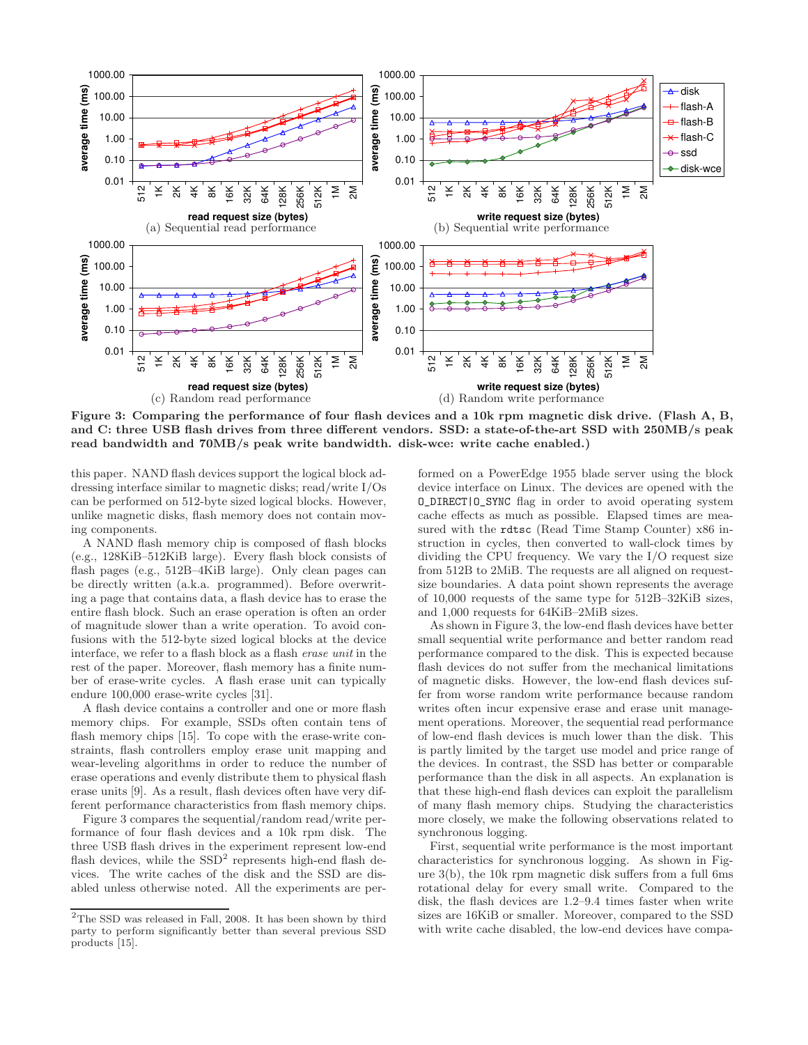

Figure 3: Comparing the performance of four flash devices and a 10k rpm magnetic disk drive. (Flash A, B, and C: three USB flash drives from three different vendors. SSD: a state-of-the-art SSD with 250MB/s peak read bandwidth and 70MB/s peak write bandwidth. disk-wce: write cache enabled.)

this paper. NAND flash devices support the logical block addressing interface similar to magnetic disks; read/write I/Os can be performed on 512-byte sized logical blocks. However, unlike magnetic disks, flash memory does not contain moving components.

A NAND flash memory chip is composed of flash blocks (e.g., 128KiB–512KiB large). Every flash block consists of flash pages (e.g., 512B–4KiB large). Only clean pages can be directly written (a.k.a. programmed). Before overwriting a page that contains data, a flash device has to erase the entire flash block. Such an erase operation is often an order of magnitude slower than a write operation. To avoid confusions with the 512-byte sized logical blocks at the device interface, we refer to a flash block as a flash erase unit in the rest of the paper. Moreover, flash memory has a finite number of erase-write cycles. A flash erase unit can typically endure 100,000 erase-write cycles [31].

A flash device contains a controller and one or more flash memory chips. For example, SSDs often contain tens of flash memory chips [15]. To cope with the erase-write constraints, flash controllers employ erase unit mapping and wear-leveling algorithms in order to reduce the number of erase operations and evenly distribute them to physical flash erase units [9]. As a result, flash devices often have very different performance characteristics from flash memory chips.

Figure 3 compares the sequential/random read/write performance of four flash devices and a 10k rpm disk. The three USB flash drives in the experiment represent low-end flash devices, while the SSD<sup>2</sup> represents high-end flash devices. The write caches of the disk and the SSD are disabled unless otherwise noted. All the experiments are performed on a PowerEdge 1955 blade server using the block device interface on Linux. The devices are opened with the O\_DIRECT|O\_SYNC flag in order to avoid operating system cache effects as much as possible. Elapsed times are measured with the rdtsc (Read Time Stamp Counter) x86 instruction in cycles, then converted to wall-clock times by dividing the CPU frequency. We vary the I/O request size from 512B to 2MiB. The requests are all aligned on requestsize boundaries. A data point shown represents the average of 10,000 requests of the same type for 512B–32KiB sizes, and 1,000 requests for 64KiB–2MiB sizes.

As shown in Figure 3, the low-end flash devices have better small sequential write performance and better random read performance compared to the disk. This is expected because flash devices do not suffer from the mechanical limitations of magnetic disks. However, the low-end flash devices suffer from worse random write performance because random writes often incur expensive erase and erase unit management operations. Moreover, the sequential read performance of low-end flash devices is much lower than the disk. This is partly limited by the target use model and price range of the devices. In contrast, the SSD has better or comparable performance than the disk in all aspects. An explanation is that these high-end flash devices can exploit the parallelism of many flash memory chips. Studying the characteristics more closely, we make the following observations related to synchronous logging.

First, sequential write performance is the most important characteristics for synchronous logging. As shown in Figure 3(b), the 10k rpm magnetic disk suffers from a full 6ms rotational delay for every small write. Compared to the disk, the flash devices are 1.2–9.4 times faster when write sizes are 16KiB or smaller. Moreover, compared to the SSD with write cache disabled, the low-end devices have compa-

 $2$ The SSD was released in Fall, 2008. It has been shown by third party to perform significantly better than several previous SSD products [15].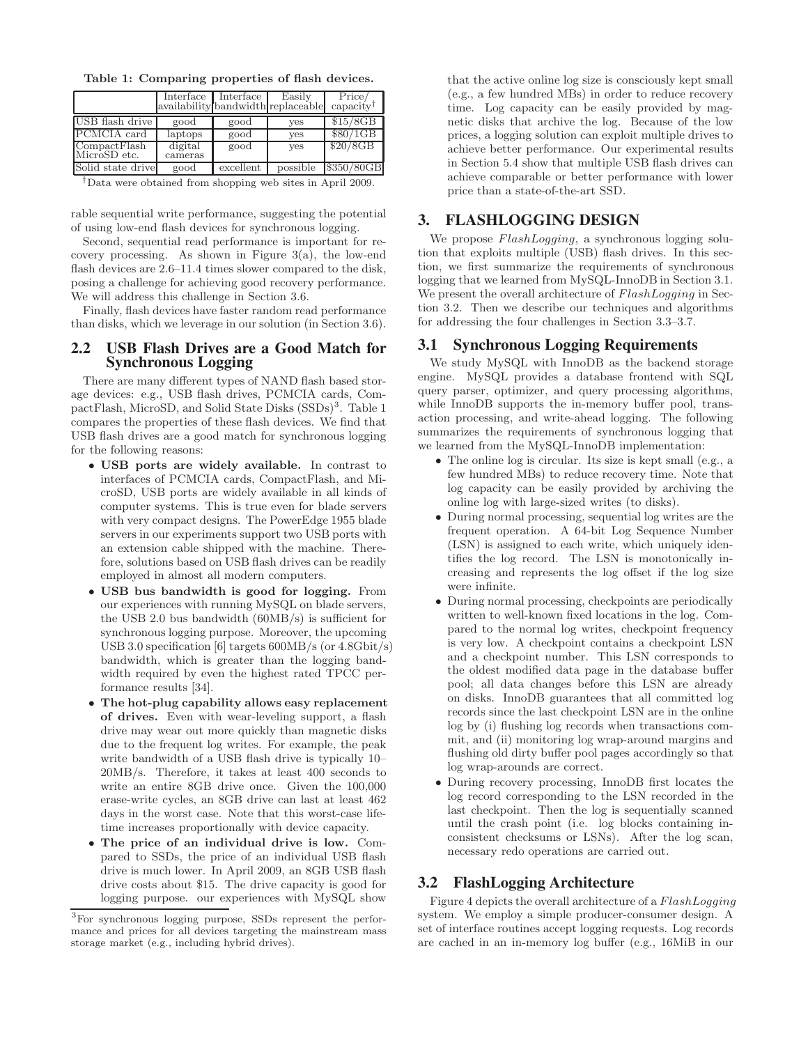Table 1: Comparing properties of flash devices.

|                              |                    | Interface Interface | Easily<br>availability bandwidth replaceable | Price/<br>$capacity$ <sup><math>\uparrow</math></sup> |
|------------------------------|--------------------|---------------------|----------------------------------------------|-------------------------------------------------------|
| USB flash drive              | good               | good                | ves                                          | \$15/8GB                                              |
| PCMCIA card                  | laptops            | good                | yes                                          | \$80/1GB                                              |
| CompactFlash<br>MicroSD etc. | digital<br>cameras | good                | yes                                          | \$20/8GB                                              |
| Solid state drive            | good               | excellent           | possible                                     | \$350/80GB                                            |

†Data were obtained from shopping web sites in April 2009.

rable sequential write performance, suggesting the potential of using low-end flash devices for synchronous logging.

Second, sequential read performance is important for recovery processing. As shown in Figure  $3(a)$ , the low-end flash devices are 2.6–11.4 times slower compared to the disk, posing a challenge for achieving good recovery performance. We will address this challenge in Section 3.6.

Finally, flash devices have faster random read performance than disks, which we leverage in our solution (in Section 3.6).

#### **2.2 USB Flash Drives are a Good Match for Synchronous Logging**

There are many different types of NAND flash based storage devices: e.g., USB flash drives, PCMCIA cards, CompactFlash, MicroSD, and Solid State Disks (SSDs)<sup>3</sup>. Table 1 compares the properties of these flash devices. We find that USB flash drives are a good match for synchronous logging for the following reasons:

- USB ports are widely available. In contrast to interfaces of PCMCIA cards, CompactFlash, and MicroSD, USB ports are widely available in all kinds of computer systems. This is true even for blade servers with very compact designs. The PowerEdge 1955 blade servers in our experiments support two USB ports with an extension cable shipped with the machine. Therefore, solutions based on USB flash drives can be readily employed in almost all modern computers.
- USB bus bandwidth is good for logging. From our experiences with running MySQL on blade servers, the USB 2.0 bus bandwidth (60MB/s) is sufficient for synchronous logging purpose. Moreover, the upcoming USB 3.0 specification [6] targets 600MB/s (or 4.8Gbit/s) bandwidth, which is greater than the logging bandwidth required by even the highest rated TPCC performance results [34].
- The hot-plug capability allows easy replacement of drives. Even with wear-leveling support, a flash drive may wear out more quickly than magnetic disks due to the frequent log writes. For example, the peak write bandwidth of a USB flash drive is typically 10– 20MB/s. Therefore, it takes at least 400 seconds to write an entire 8GB drive once. Given the 100,000 erase-write cycles, an 8GB drive can last at least 462 days in the worst case. Note that this worst-case lifetime increases proportionally with device capacity.
- The price of an individual drive is low. Compared to SSDs, the price of an individual USB flash drive is much lower. In April 2009, an 8GB USB flash drive costs about \$15. The drive capacity is good for logging purpose. our experiences with MySQL show

that the active online log size is consciously kept small (e.g., a few hundred MBs) in order to reduce recovery time. Log capacity can be easily provided by magnetic disks that archive the log. Because of the low prices, a logging solution can exploit multiple drives to achieve better performance. Our experimental results in Section 5.4 show that multiple USB flash drives can achieve comparable or better performance with lower price than a state-of-the-art SSD.

#### **3. FLASHLOGGING DESIGN**

We propose FlashLogging, a synchronous logging solution that exploits multiple (USB) flash drives. In this section, we first summarize the requirements of synchronous logging that we learned from MySQL-InnoDB in Section 3.1. We present the overall architecture of  $FlashLogging$  in Section 3.2. Then we describe our techniques and algorithms for addressing the four challenges in Section 3.3–3.7.

#### **3.1 Synchronous Logging Requirements**

We study MySQL with InnoDB as the backend storage engine. MySQL provides a database frontend with SQL query parser, optimizer, and query processing algorithms, while InnoDB supports the in-memory buffer pool, transaction processing, and write-ahead logging. The following summarizes the requirements of synchronous logging that we learned from the MySQL-InnoDB implementation:

- The online log is circular. Its size is kept small  $(e.g., a$ few hundred MBs) to reduce recovery time. Note that log capacity can be easily provided by archiving the online log with large-sized writes (to disks).
- During normal processing, sequential log writes are the frequent operation. A 64-bit Log Sequence Number (LSN) is assigned to each write, which uniquely identifies the log record. The LSN is monotonically increasing and represents the log offset if the log size were infinite.
- During normal processing, checkpoints are periodically written to well-known fixed locations in the log. Compared to the normal log writes, checkpoint frequency is very low. A checkpoint contains a checkpoint LSN and a checkpoint number. This LSN corresponds to the oldest modified data page in the database buffer pool; all data changes before this LSN are already on disks. InnoDB guarantees that all committed log records since the last checkpoint LSN are in the online log by (i) flushing log records when transactions commit, and (ii) monitoring log wrap-around margins and flushing old dirty buffer pool pages accordingly so that log wrap-arounds are correct.
- During recovery processing, InnoDB first locates the log record corresponding to the LSN recorded in the last checkpoint. Then the log is sequentially scanned until the crash point (i.e. log blocks containing inconsistent checksums or LSNs). After the log scan, necessary redo operations are carried out.

#### **3.2 FlashLogging Architecture**

Figure 4 depicts the overall architecture of a FlashLogging system. We employ a simple producer-consumer design. A set of interface routines accept logging requests. Log records are cached in an in-memory log buffer (e.g., 16MiB in our

<sup>3</sup>For synchronous logging purpose, SSDs represent the performance and prices for all devices targeting the mainstream mass storage market (e.g., including hybrid drives).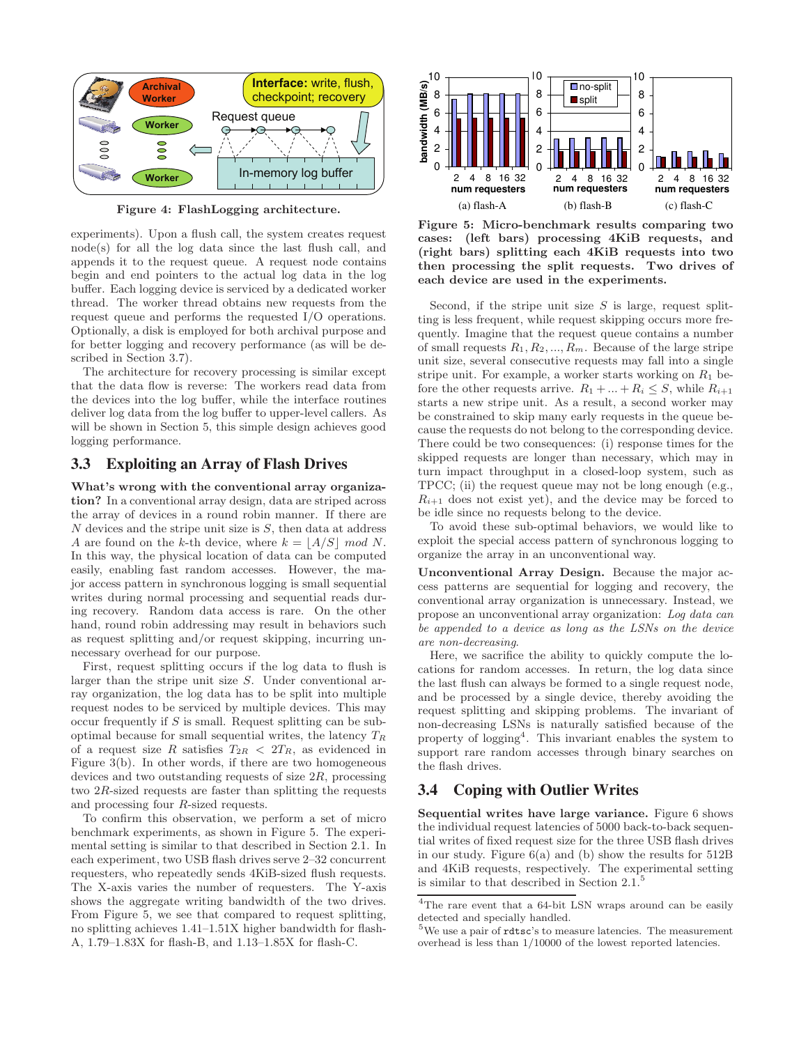

Figure 4: FlashLogging architecture.

experiments). Upon a flush call, the system creates request node(s) for all the log data since the last flush call, and appends it to the request queue. A request node contains begin and end pointers to the actual log data in the log buffer. Each logging device is serviced by a dedicated worker thread. The worker thread obtains new requests from the request queue and performs the requested I/O operations. Optionally, a disk is employed for both archival purpose and for better logging and recovery performance (as will be described in Section 3.7).

The architecture for recovery processing is similar except that the data flow is reverse: The workers read data from the devices into the log buffer, while the interface routines deliver log data from the log buffer to upper-level callers. As will be shown in Section 5, this simple design achieves good logging performance.

#### **3.3 Exploiting an Array of Flash Drives**

What's wrong with the conventional array organization? In a conventional array design, data are striped across the array of devices in a round robin manner. If there are  $N$  devices and the stripe unit size is  $S$ , then data at address A are found on the k-th device, where  $k = |A/S| \mod N$ . In this way, the physical location of data can be computed easily, enabling fast random accesses. However, the major access pattern in synchronous logging is small sequential writes during normal processing and sequential reads during recovery. Random data access is rare. On the other hand, round robin addressing may result in behaviors such as request splitting and/or request skipping, incurring unnecessary overhead for our purpose.

First, request splitting occurs if the log data to flush is larger than the stripe unit size S. Under conventional array organization, the log data has to be split into multiple request nodes to be serviced by multiple devices. This may occur frequently if S is small. Request splitting can be suboptimal because for small sequential writes, the latency  $T_R$ of a request size R satisfies  $T_{2R} < 2T_R$ , as evidenced in Figure 3(b). In other words, if there are two homogeneous devices and two outstanding requests of size  $2R$ , processing two 2R-sized requests are faster than splitting the requests and processing four R-sized requests.

To confirm this observation, we perform a set of micro benchmark experiments, as shown in Figure 5. The experimental setting is similar to that described in Section 2.1. In each experiment, two USB flash drives serve 2–32 concurrent requesters, who repeatedly sends 4KiB-sized flush requests. The X-axis varies the number of requesters. The Y-axis shows the aggregate writing bandwidth of the two drives. From Figure 5, we see that compared to request splitting, no splitting achieves 1.41–1.51X higher bandwidth for flash-A, 1.79–1.83X for flash-B, and 1.13–1.85X for flash-C.



Figure 5: Micro-benchmark results comparing two cases: (left bars) processing 4KiB requests, and (right bars) splitting each 4KiB requests into two then processing the split requests. Two drives of each device are used in the experiments.

Second, if the stripe unit size  $S$  is large, request splitting is less frequent, while request skipping occurs more frequently. Imagine that the request queue contains a number of small requests  $R_1, R_2, ..., R_m$ . Because of the large stripe unit size, several consecutive requests may fall into a single stripe unit. For example, a worker starts working on  $R_1$  before the other requests arrive.  $R_1 + ... + R_i \leq S$ , while  $R_{i+1}$ starts a new stripe unit. As a result, a second worker may be constrained to skip many early requests in the queue because the requests do not belong to the corresponding device. There could be two consequences: (i) response times for the skipped requests are longer than necessary, which may in turn impact throughput in a closed-loop system, such as TPCC; (ii) the request queue may not be long enough (e.g.,  $R_{i+1}$  does not exist yet), and the device may be forced to be idle since no requests belong to the device.

To avoid these sub-optimal behaviors, we would like to exploit the special access pattern of synchronous logging to organize the array in an unconventional way.

Unconventional Array Design. Because the major access patterns are sequential for logging and recovery, the conventional array organization is unnecessary. Instead, we propose an unconventional array organization: Log data can be appended to a device as long as the LSNs on the device are non-decreasing.

Here, we sacrifice the ability to quickly compute the locations for random accesses. In return, the log data since the last flush can always be formed to a single request node, and be processed by a single device, thereby avoiding the request splitting and skipping problems. The invariant of non-decreasing LSNs is naturally satisfied because of the property of logging<sup>4</sup> . This invariant enables the system to support rare random accesses through binary searches on the flash drives.

## **3.4 Coping with Outlier Writes**

Sequential writes have large variance. Figure 6 shows the individual request latencies of 5000 back-to-back sequential writes of fixed request size for the three USB flash drives in our study. Figure 6(a) and (b) show the results for 512B and 4KiB requests, respectively. The experimental setting is similar to that described in Section 2.1.<sup>5</sup>

 $^4{\rm The}$  rare event that a 64-bit LSN wraps around can be easily detected and specially handled.

 $5W$ e use a pair of rdtsc's to measure latencies. The measurement overhead is less than 1/10000 of the lowest reported latencies.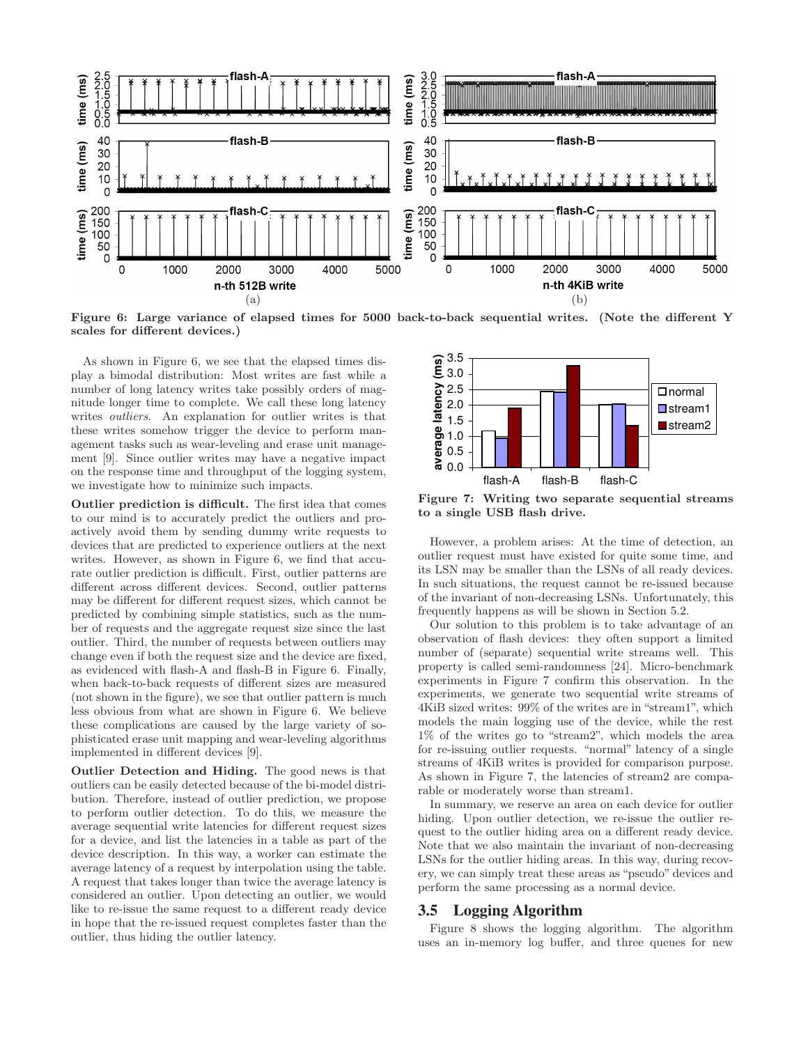

Figure 6: Large variance of elapsed times for 5000 back-to-back sequential writes. (Note the different Y scales for different devices.)

As shown in Figure 6, we see that the elapsed times display a bimodal distribution: Most writes are fast while a number of long latency writes take possibly orders of magnitude longer time to complete. We call these long latency writes *outliers*. An explanation for outlier writes is that these writes somehow trigger the device to perform management tasks such as wear-leveling and erase unit management [9]. Since outlier writes may have a negative impact on the response time and throughput of the logging system, we investigate how to minimize such impacts.

Outlier prediction is difficult. The first idea that comes to our mind is to accurately predict the outliers and proactively avoid them by sending dummy write requests to devices that are predicted to experience outliers at the next writes. However, as shown in Figure 6, we find that accurate outlier prediction is difficult. First, outlier patterns are different across different devices. Second, outlier patterns may be different for different request sizes, which cannot be predicted by combining simple statistics, such as the number of requests and the aggregate request size since the last outlier. Third, the number of requests between outliers may change even if both the request size and the device are fixed, as evidenced with flash-A and flash-B in Figure 6. Finally, when back-to-back requests of different sizes are measured (not shown in the figure), we see that outlier pattern is much less obvious from what are shown in Figure 6. We believe these complications are caused by the large variety of sophisticated erase unit mapping and wear-leveling algorithms implemented in different devices [9].

Outlier Detection and Hiding. The good news is that outliers can be easily detected because of the bi-model distribution. Therefore, instead of outlier prediction, we propose to perform outlier detection. To do this, we measure the average sequential write latencies for different request sizes for a device, and list the latencies in a table as part of the device description. In this way, a worker can estimate the average latency of a request by interpolation using the table. A request that takes longer than twice the average latency is considered an outlier. Upon detecting an outlier, we would like to re-issue the same request to a different ready device in hope that the re-issued request completes faster than the outlier, thus hiding the outlier latency.



Figure 7: Writing two separate sequential streams to a single USB flash drive.

However, a problem arises: At the time of detection, an outlier request must have existed for quite some time, and its LSN may be smaller than the LSNs of all ready devices. In such situations, the request cannot be re-issued because of the invariant of non-decreasing LSNs. Unfortunately, this frequently happens as will be shown in Section 5.2.

Our solution to this problem is to take advantage of an observation of flash devices: they often support a limited number of (separate) sequential write streams well. This property is called semi-randomness [24]. Micro-benchmark experiments in Figure 7 confirm this observation. In the experiments, we generate two sequential write streams of 4KiB sized writes: 99% of the writes are in "stream1", which models the main logging use of the device, while the rest 1% of the writes go to "stream2", which models the area for re-issuing outlier requests. "normal" latency of a single streams of 4KiB writes is provided for comparison purpose. As shown in Figure 7, the latencies of stream2 are comparable or moderately worse than stream1.

In summary, we reserve an area on each device for outlier hiding. Upon outlier detection, we re-issue the outlier request to the outlier hiding area on a different ready device. Note that we also maintain the invariant of non-decreasing LSNs for the outlier hiding areas. In this way, during recovery, we can simply treat these areas as "pseudo" devices and perform the same processing as a normal device.

#### **3.5 Logging Algorithm**

Figure 8 shows the logging algorithm. The algorithm uses an in-memory log buffer, and three queues for new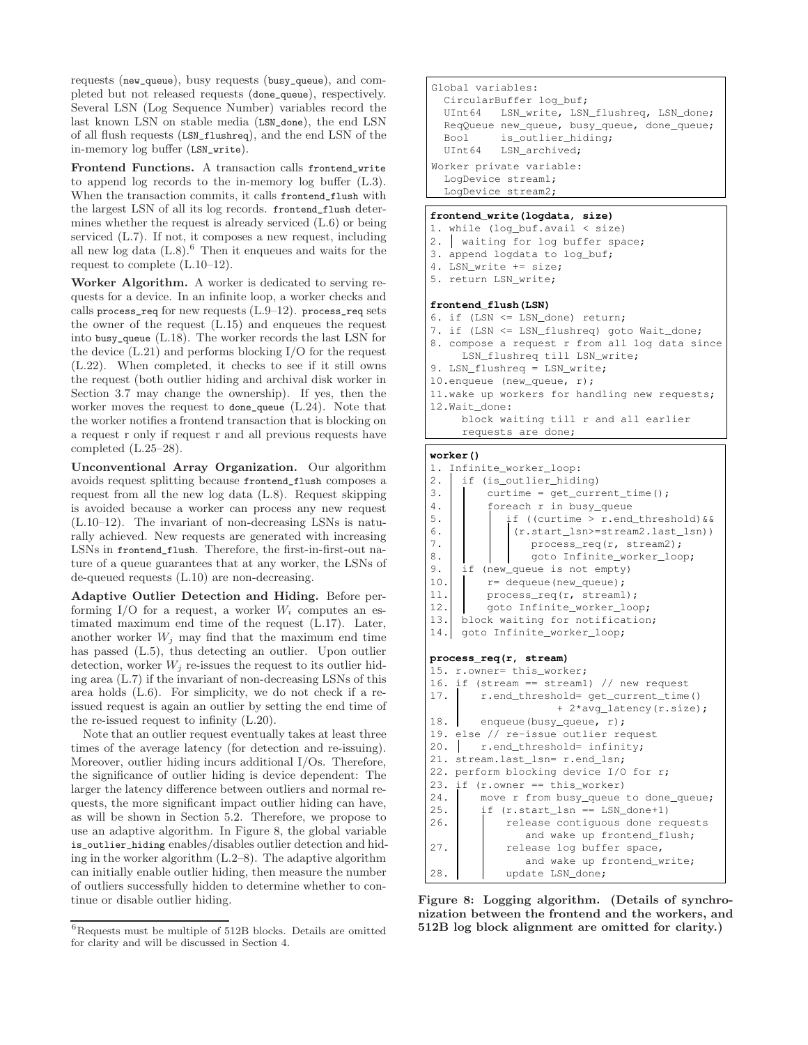requests (new\_queue), busy requests (busy\_queue), and completed but not released requests (done\_queue), respectively. Several LSN (Log Sequence Number) variables record the last known LSN on stable media (LSN\_done), the end LSN of all flush requests (LSN\_flushreq), and the end LSN of the in-memory log buffer (LSN\_write).

Frontend Functions. A transaction calls frontend\_write to append log records to the in-memory log buffer (L.3). When the transaction commits, it calls frontend\_flush with the largest LSN of all its log records. frontend\_flush determines whether the request is already serviced (L.6) or being serviced (L.7). If not, it composes a new request, including all new log data  $(L.8)$ .<sup>6</sup> Then it enqueues and waits for the request to complete (L.10–12).

Worker Algorithm. A worker is dedicated to serving requests for a device. In an infinite loop, a worker checks and calls process\_req for new requests (L.9–12). process\_req sets the owner of the request (L.15) and enqueues the request into busy\_queue (L.18). The worker records the last LSN for the device (L.21) and performs blocking I/O for the request (L.22). When completed, it checks to see if it still owns the request (both outlier hiding and archival disk worker in Section 3.7 may change the ownership). If yes, then the worker moves the request to done\_queue (L.24). Note that the worker notifies a frontend transaction that is blocking on a request r only if request r and all previous requests have completed (L.25–28).

Unconventional Array Organization. Our algorithm avoids request splitting because frontend\_flush composes a request from all the new log data (L.8). Request skipping is avoided because a worker can process any new request (L.10–12). The invariant of non-decreasing LSNs is naturally achieved. New requests are generated with increasing LSNs in frontend\_flush. Therefore, the first-in-first-out nature of a queue guarantees that at any worker, the LSNs of de-queued requests (L.10) are non-decreasing.

Adaptive Outlier Detection and Hiding. Before performing I/O for a request, a worker  $W_i$  computes an estimated maximum end time of the request (L.17). Later, another worker  $W_i$  may find that the maximum end time has passed  $(L.5)$ , thus detecting an outlier. Upon outlier detection, worker  $W_i$  re-issues the request to its outlier hiding area (L.7) if the invariant of non-decreasing LSNs of this area holds (L.6). For simplicity, we do not check if a reissued request is again an outlier by setting the end time of the re-issued request to infinity (L.20).

Note that an outlier request eventually takes at least three times of the average latency (for detection and re-issuing). Moreover, outlier hiding incurs additional I/Os. Therefore, the significance of outlier hiding is device dependent: The larger the latency difference between outliers and normal requests, the more significant impact outlier hiding can have, as will be shown in Section 5.2. Therefore, we propose to use an adaptive algorithm. In Figure 8, the global variable is\_outlier\_hiding enables/disables outlier detection and hiding in the worker algorithm  $(L.2-8)$ . The adaptive algorithm can initially enable outlier hiding, then measure the number of outliers successfully hidden to determine whether to continue or disable outlier hiding.

| Global variables:<br>CircularBuffer loq_buf; |
|----------------------------------------------|
| UInt64 LSN_write, LSN_flushreq, LSN_done;    |
| ReqQueue new_queue, busy_queue, done_queue;  |
| is_outlier_hiding;<br>Bool                   |
| UInt64 LSN archived;                         |
| Worker private variable:                     |
| LogDevice streaml;                           |
| LogDevice stream2;                           |

#### **frontend\_write(logdata, size)**

- 1. while (log\_buf.avail < size)
- 2. waiting for log buffer space;
- 3. append logdata to log\_buf;
- 4. LSN\_write += size;
- 5. return LSN\_write;

#### **frontend\_flush(LSN)**

- 6. if (LSN <= LSN\_done) return;
- 7. if (LSN <= LSN\_flushreq) goto Wait\_done; 8. compose a request r from all log data since
- LSN\_flushreq till LSN\_write; 9. LSN\_flushreq = LSN\_write;
- 10.enqueue (new\_queue, r);
- 11.wake up workers for handling new requests; 12.Wait\_done:
	- block waiting till r and all earlier requests are done;

#### **worker()**

| 1.                          | Infinite_worker_loop:                     |  |  |  |  |
|-----------------------------|-------------------------------------------|--|--|--|--|
| $2$ .                       | if (is_outlier_hiding)                    |  |  |  |  |
| $\ensuremath{\mathsf{3}}$ . | $cutime = qet_current_time()$ ;           |  |  |  |  |
| 4.                          | foreach r in busy_queue                   |  |  |  |  |
| 5.                          | if ((curtime > r.end_threshold) & &       |  |  |  |  |
| 6.                          | $(r.start_lsn>=stream2uast_lsn)$          |  |  |  |  |
| 7.                          | process_req(r, stream2);                  |  |  |  |  |
| 8.                          | qoto Infinite_worker_loop;                |  |  |  |  |
| 9.                          | if (new_queue is not empty)               |  |  |  |  |
| 10.                         | $r=$ dequeue (new_queue) ;                |  |  |  |  |
| 11.                         | $process\_req(r, stream1);$               |  |  |  |  |
| 12.                         | qoto Infinite_worker_loop;                |  |  |  |  |
| 13.1                        | block waiting for notification;           |  |  |  |  |
| 14.1                        | goto Infinite_worker_loop;                |  |  |  |  |
|                             |                                           |  |  |  |  |
|                             | process_req(r, stream)                    |  |  |  |  |
|                             | 15. r.owner= this_worker;                 |  |  |  |  |
|                             | 16. if (stream == stream1) // new request |  |  |  |  |
| 17.                         | r.end_threshold= qet_current_time()       |  |  |  |  |
|                             | + 2*avg_latency(r.size);                  |  |  |  |  |
| 18.                         | enqueue (busy_queue, r);                  |  |  |  |  |
|                             | 19. else // re-issue outlier request      |  |  |  |  |
| 20.                         | r.end_threshold= infinity;                |  |  |  |  |
|                             | 21. stream.last_lsn= r.end_lsn;           |  |  |  |  |
|                             | 22. perform blocking device I/O for r;    |  |  |  |  |
|                             | 23. if (r.owner == this_worker)           |  |  |  |  |
| 24.                         | move r from busy_queue to done_queue;     |  |  |  |  |
| 25.                         | if $(r.start_lsn == LSN_done+1)$          |  |  |  |  |
| 26.                         | release contiguous done requests          |  |  |  |  |
|                             | and wake up frontend_flush;               |  |  |  |  |
| 27.                         | release log buffer space,                 |  |  |  |  |
|                             | and wake up frontend_write;               |  |  |  |  |
| 28.                         | update LSN_done;                          |  |  |  |  |

Figure 8: Logging algorithm. (Details of synchronization between the frontend and the workers, and 512B log block alignment are omitted for clarity.)

 ${}^{6}$ Requests must be multiple of 512B blocks. Details are omitted for clarity and will be discussed in Section 4.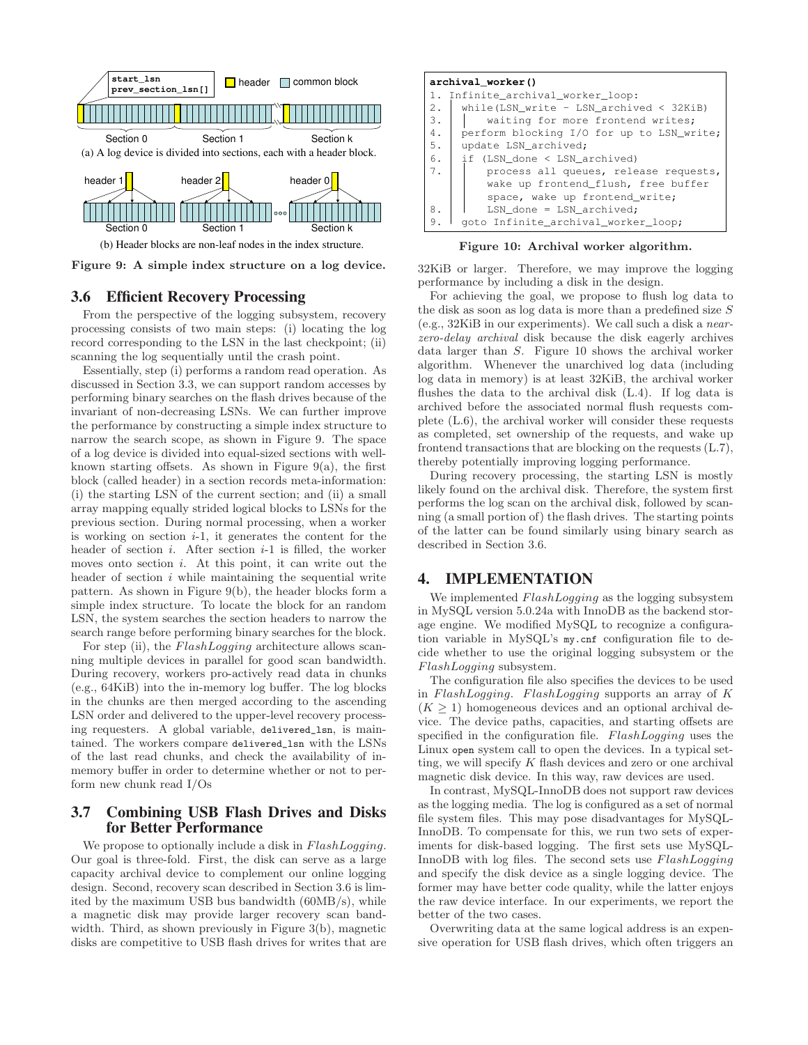

Figure 9: A simple index structure on a log device.

#### **3.6 Efficient Recovery Processing**

From the perspective of the logging subsystem, recovery processing consists of two main steps: (i) locating the log record corresponding to the LSN in the last checkpoint; (ii) scanning the log sequentially until the crash point.

Essentially, step (i) performs a random read operation. As discussed in Section 3.3, we can support random accesses by performing binary searches on the flash drives because of the invariant of non-decreasing LSNs. We can further improve the performance by constructing a simple index structure to narrow the search scope, as shown in Figure 9. The space of a log device is divided into equal-sized sections with wellknown starting offsets. As shown in Figure  $9(a)$ , the first block (called header) in a section records meta-information: (i) the starting LSN of the current section; and (ii) a small array mapping equally strided logical blocks to LSNs for the previous section. During normal processing, when a worker is working on section  $i-1$ , it generates the content for the header of section  $i$ . After section  $i-1$  is filled, the worker moves onto section  $i$ . At this point, it can write out the header of section  $i$  while maintaining the sequential write pattern. As shown in Figure 9(b), the header blocks form a simple index structure. To locate the block for an random LSN, the system searches the section headers to narrow the search range before performing binary searches for the block.

For step (ii), the FlashLogging architecture allows scanning multiple devices in parallel for good scan bandwidth. During recovery, workers pro-actively read data in chunks (e.g., 64KiB) into the in-memory log buffer. The log blocks in the chunks are then merged according to the ascending LSN order and delivered to the upper-level recovery processing requesters. A global variable, delivered\_lsn, is maintained. The workers compare delivered\_lsn with the LSNs of the last read chunks, and check the availability of inmemory buffer in order to determine whether or not to perform new chunk read I/Os

## **3.7 Combining USB Flash Drives and Disks for Better Performance**

We propose to optionally include a disk in  $FlashLogging$ . Our goal is three-fold. First, the disk can serve as a large capacity archival device to complement our online logging design. Second, recovery scan described in Section 3.6 is limited by the maximum USB bus bandwidth (60MB/s), while a magnetic disk may provide larger recovery scan bandwidth. Third, as shown previously in Figure 3(b), magnetic disks are competitive to USB flash drives for writes that are

| archival worker() |                                            |  |  |  |  |
|-------------------|--------------------------------------------|--|--|--|--|
|                   | 1. Infinite_archival_worker_loop:          |  |  |  |  |
| 2.                | while $(LSN_write - LSN_archived < 32KiB)$ |  |  |  |  |
| 3.                | waiting for more frontend writes;          |  |  |  |  |
| 4.                | perform blocking I/O for up to LSN write;  |  |  |  |  |
| 5.                | update LSN archived;                       |  |  |  |  |
| 6.                | if (LSN done < LSN archived)               |  |  |  |  |
| 7.                | process all queues, release requests,      |  |  |  |  |
|                   | wake up frontend_flush, free buffer        |  |  |  |  |
|                   | space, wake up frontend write;             |  |  |  |  |
| 8.                | LSN done = LSN archived;                   |  |  |  |  |
| 9.                | goto Infinite archival worker loop;        |  |  |  |  |
|                   |                                            |  |  |  |  |

Figure 10: Archival worker algorithm.

32KiB or larger. Therefore, we may improve the logging performance by including a disk in the design.

For achieving the goal, we propose to flush log data to the disk as soon as log data is more than a predefined size S (e.g., 32KiB in our experiments). We call such a disk a nearzero-delay archival disk because the disk eagerly archives data larger than S. Figure 10 shows the archival worker algorithm. Whenever the unarchived log data (including log data in memory) is at least 32KiB, the archival worker flushes the data to the archival disk (L.4). If log data is archived before the associated normal flush requests complete (L.6), the archival worker will consider these requests as completed, set ownership of the requests, and wake up frontend transactions that are blocking on the requests (L.7), thereby potentially improving logging performance.

During recovery processing, the starting LSN is mostly likely found on the archival disk. Therefore, the system first performs the log scan on the archival disk, followed by scanning (a small portion of) the flash drives. The starting points of the latter can be found similarly using binary search as described in Section 3.6.

#### **4. IMPLEMENTATION**

We implemented  $FlashLogging$  as the logging subsystem in MySQL version 5.0.24a with InnoDB as the backend storage engine. We modified MySQL to recognize a configuration variable in MySQL's my.cnf configuration file to decide whether to use the original logging subsystem or the FlashLogging subsystem.

The configuration file also specifies the devices to be used in  $FlashLogging$ . FlashLogging supports an array of  $K$  $(K > 1)$  homogeneous devices and an optional archival device. The device paths, capacities, and starting offsets are specified in the configuration file. FlashLogging uses the Linux open system call to open the devices. In a typical setting, we will specify  $K$  flash devices and zero or one archival magnetic disk device. In this way, raw devices are used.

In contrast, MySQL-InnoDB does not support raw devices as the logging media. The log is configured as a set of normal file system files. This may pose disadvantages for MySQL-InnoDB. To compensate for this, we run two sets of experiments for disk-based logging. The first sets use MySQL-InnoDB with log files. The second sets use FlashLogging and specify the disk device as a single logging device. The former may have better code quality, while the latter enjoys the raw device interface. In our experiments, we report the better of the two cases.

Overwriting data at the same logical address is an expensive operation for USB flash drives, which often triggers an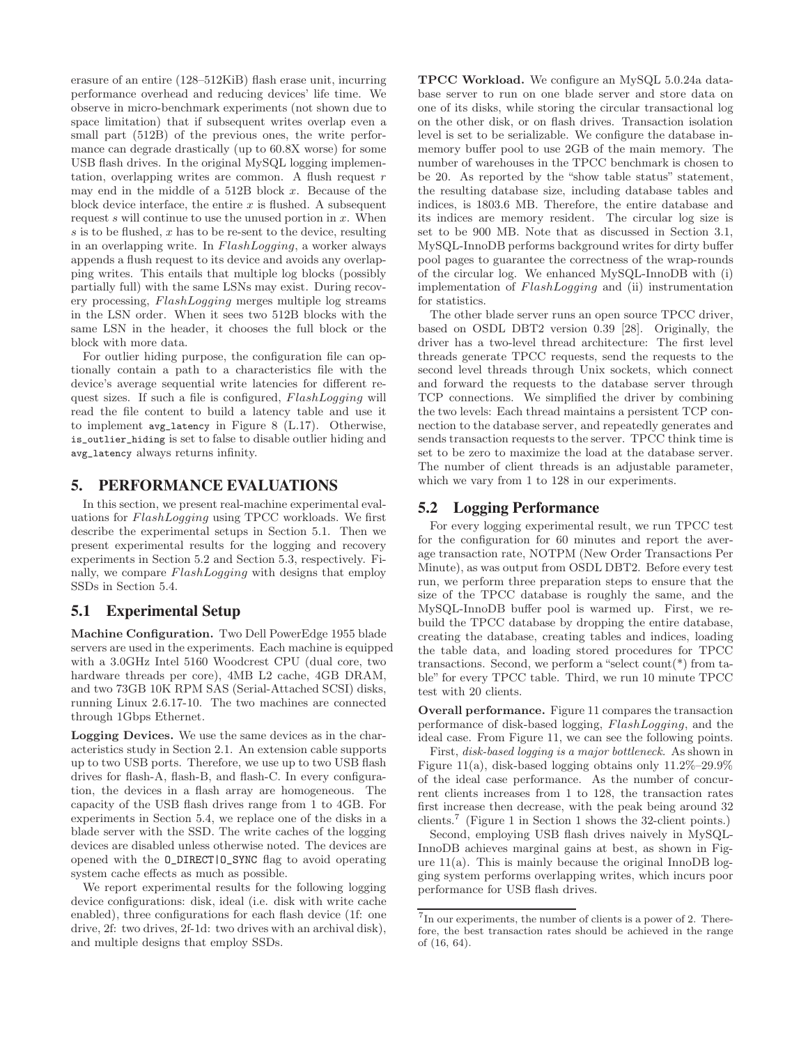erasure of an entire (128–512KiB) flash erase unit, incurring performance overhead and reducing devices' life time. We observe in micro-benchmark experiments (not shown due to space limitation) that if subsequent writes overlap even a small part (512B) of the previous ones, the write performance can degrade drastically (up to 60.8X worse) for some USB flash drives. In the original MySQL logging implementation, overlapping writes are common. A flush request  $r$ may end in the middle of a  $512B$  block x. Because of the block device interface, the entire  $x$  is flushed. A subsequent request  $s$  will continue to use the unused portion in  $x$ . When  $s$  is to be flushed,  $x$  has to be re-sent to the device, resulting in an overlapping write. In FlashLogging, a worker always appends a flush request to its device and avoids any overlapping writes. This entails that multiple log blocks (possibly partially full) with the same LSNs may exist. During recovery processing, FlashLogging merges multiple log streams in the LSN order. When it sees two 512B blocks with the same LSN in the header, it chooses the full block or the block with more data.

For outlier hiding purpose, the configuration file can optionally contain a path to a characteristics file with the device's average sequential write latencies for different request sizes. If such a file is configured, FlashLogging will read the file content to build a latency table and use it to implement avg\_latency in Figure 8 (L.17). Otherwise, is\_outlier\_hiding is set to false to disable outlier hiding and avg\_latency always returns infinity.

#### **5. PERFORMANCE EVALUATIONS**

In this section, we present real-machine experimental evaluations for FlashLogging using TPCC workloads. We first describe the experimental setups in Section 5.1. Then we present experimental results for the logging and recovery experiments in Section 5.2 and Section 5.3, respectively. Finally, we compare FlashLogging with designs that employ SSDs in Section 5.4.

## **5.1 Experimental Setup**

Machine Configuration. Two Dell PowerEdge 1955 blade servers are used in the experiments. Each machine is equipped with a 3.0GHz Intel 5160 Woodcrest CPU (dual core, two hardware threads per core), 4MB L2 cache, 4GB DRAM, and two 73GB 10K RPM SAS (Serial-Attached SCSI) disks, running Linux 2.6.17-10. The two machines are connected through 1Gbps Ethernet.

Logging Devices. We use the same devices as in the characteristics study in Section 2.1. An extension cable supports up to two USB ports. Therefore, we use up to two USB flash drives for flash-A, flash-B, and flash-C. In every configuration, the devices in a flash array are homogeneous. The capacity of the USB flash drives range from 1 to 4GB. For experiments in Section 5.4, we replace one of the disks in a blade server with the SSD. The write caches of the logging devices are disabled unless otherwise noted. The devices are opened with the O\_DIRECT|O\_SYNC flag to avoid operating system cache effects as much as possible.

We report experimental results for the following logging device configurations: disk, ideal (i.e. disk with write cache enabled), three configurations for each flash device (1f: one drive, 2f: two drives, 2f-1d: two drives with an archival disk), and multiple designs that employ SSDs.

TPCC Workload. We configure an MySQL 5.0.24a database server to run on one blade server and store data on one of its disks, while storing the circular transactional log on the other disk, or on flash drives. Transaction isolation level is set to be serializable. We configure the database inmemory buffer pool to use 2GB of the main memory. The number of warehouses in the TPCC benchmark is chosen to be 20. As reported by the "show table status" statement, the resulting database size, including database tables and indices, is 1803.6 MB. Therefore, the entire database and its indices are memory resident. The circular log size is set to be 900 MB. Note that as discussed in Section 3.1, MySQL-InnoDB performs background writes for dirty buffer pool pages to guarantee the correctness of the wrap-rounds of the circular log. We enhanced MySQL-InnoDB with (i) implementation of FlashLogging and (ii) instrumentation for statistics.

The other blade server runs an open source TPCC driver, based on OSDL DBT2 version 0.39 [28]. Originally, the driver has a two-level thread architecture: The first level threads generate TPCC requests, send the requests to the second level threads through Unix sockets, which connect and forward the requests to the database server through TCP connections. We simplified the driver by combining the two levels: Each thread maintains a persistent TCP connection to the database server, and repeatedly generates and sends transaction requests to the server. TPCC think time is set to be zero to maximize the load at the database server. The number of client threads is an adjustable parameter, which we vary from 1 to 128 in our experiments.

## **5.2 Logging Performance**

For every logging experimental result, we run TPCC test for the configuration for 60 minutes and report the average transaction rate, NOTPM (New Order Transactions Per Minute), as was output from OSDL DBT2. Before every test run, we perform three preparation steps to ensure that the size of the TPCC database is roughly the same, and the MySQL-InnoDB buffer pool is warmed up. First, we rebuild the TPCC database by dropping the entire database, creating the database, creating tables and indices, loading the table data, and loading stored procedures for TPCC transactions. Second, we perform a "select count(\*) from table" for every TPCC table. Third, we run 10 minute TPCC test with 20 clients.

Overall performance. Figure 11 compares the transaction performance of disk-based logging, FlashLogging, and the ideal case. From Figure 11, we can see the following points.

First, disk-based logging is a major bottleneck. As shown in Figure 11(a), disk-based logging obtains only  $11.2\%$ -29.9% of the ideal case performance. As the number of concurrent clients increases from 1 to 128, the transaction rates first increase then decrease, with the peak being around 32 clients.<sup>7</sup> (Figure 1 in Section 1 shows the 32-client points.)

Second, employing USB flash drives naively in MySQL-InnoDB achieves marginal gains at best, as shown in Figure  $11(a)$ . This is mainly because the original InnoDB logging system performs overlapping writes, which incurs poor performance for USB flash drives.

<sup>7</sup> In our experiments, the number of clients is a power of 2. Therefore, the best transaction rates should be achieved in the range of (16, 64).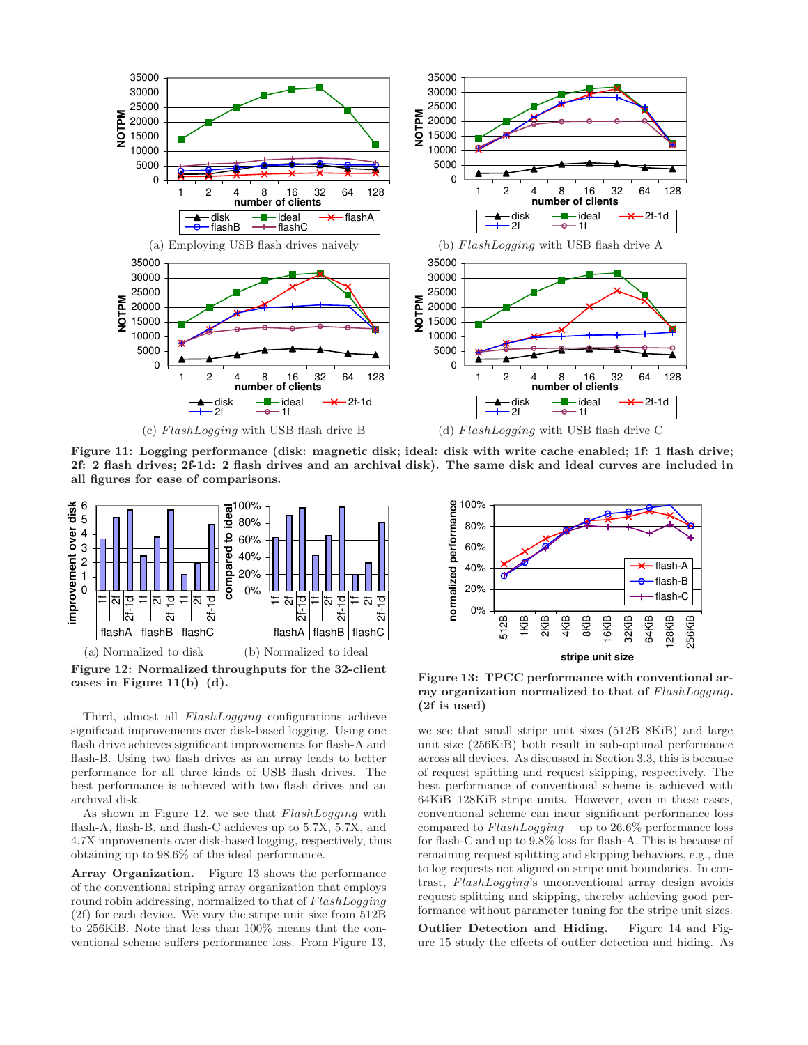

Figure 11: Logging performance (disk: magnetic disk; ideal: disk with write cache enabled; 1f: 1 flash drive; 2f: 2 flash drives; 2f-1d: 2 flash drives and an archival disk). The same disk and ideal curves are included in all figures for ease of comparisons.



Figure 12: Normalized throughputs for the 32-client cases in Figure  $11(b)–(d)$ .

Third, almost all FlashLogging configurations achieve significant improvements over disk-based logging. Using one flash drive achieves significant improvements for flash-A and flash-B. Using two flash drives as an array leads to better performance for all three kinds of USB flash drives. The best performance is achieved with two flash drives and an archival disk.

As shown in Figure 12, we see that FlashLogging with flash-A, flash-B, and flash-C achieves up to 5.7X, 5.7X, and 4.7X improvements over disk-based logging, respectively, thus obtaining up to 98.6% of the ideal performance.

Array Organization. Figure 13 shows the performance of the conventional striping array organization that employs round robin addressing, normalized to that of  $FlashLogging$ (2f) for each device. We vary the stripe unit size from 512B to 256KiB. Note that less than 100% means that the conventional scheme suffers performance loss. From Figure 13,



Figure 13: TPCC performance with conventional array organization normalized to that of  $FlashLogging$ . (2f is used)

we see that small stripe unit sizes (512B–8KiB) and large unit size (256KiB) both result in sub-optimal performance across all devices. As discussed in Section 3.3, this is because of request splitting and request skipping, respectively. The best performance of conventional scheme is achieved with 64KiB–128KiB stripe units. However, even in these cases, conventional scheme can incur significant performance loss compared to FlashLogging— up to 26.6% performance loss for flash-C and up to 9.8% loss for flash-A. This is because of remaining request splitting and skipping behaviors, e.g., due to log requests not aligned on stripe unit boundaries. In contrast, FlashLogging's unconventional array design avoids request splitting and skipping, thereby achieving good performance without parameter tuning for the stripe unit sizes.

Outlier Detection and Hiding. Figure 14 and Figure 15 study the effects of outlier detection and hiding. As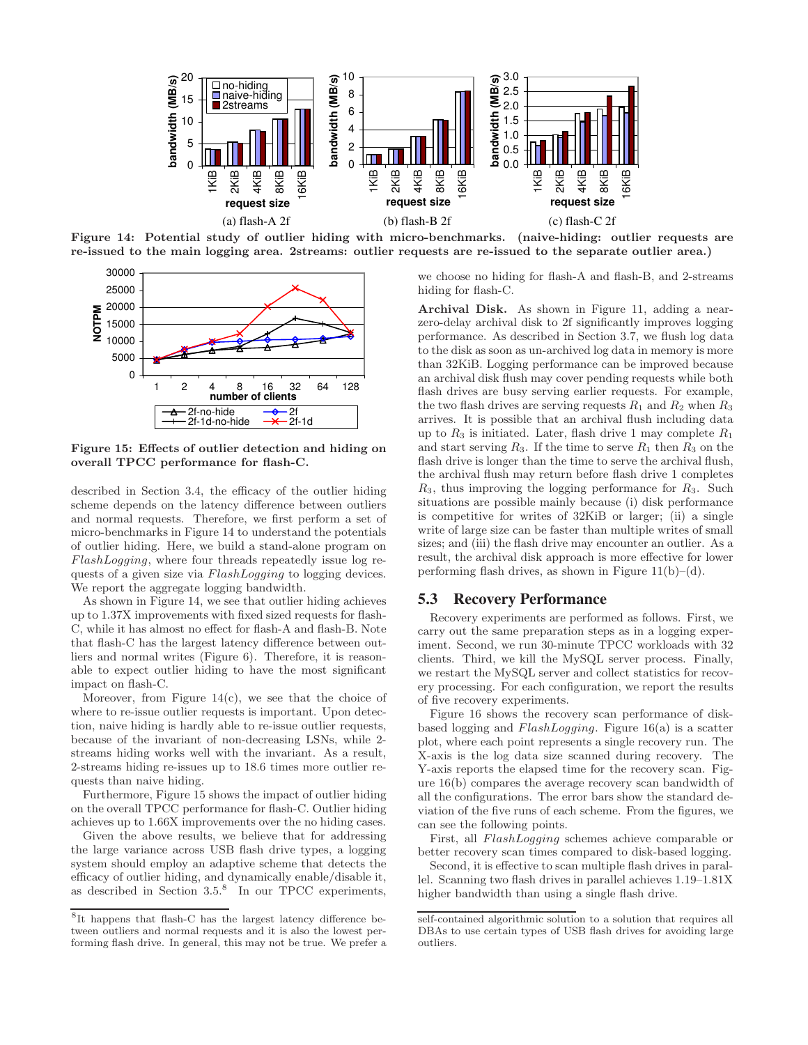

Figure 14: Potential study of outlier hiding with micro-benchmarks. (naive-hiding: outlier requests are re-issued to the main logging area. 2streams: outlier requests are re-issued to the separate outlier area.)



Figure 15: Effects of outlier detection and hiding on overall TPCC performance for flash-C.

described in Section 3.4, the efficacy of the outlier hiding scheme depends on the latency difference between outliers and normal requests. Therefore, we first perform a set of micro-benchmarks in Figure 14 to understand the potentials of outlier hiding. Here, we build a stand-alone program on FlashLogging, where four threads repeatedly issue log requests of a given size via  $FlashLogging$  to logging devices. We report the aggregate logging bandwidth.

As shown in Figure 14, we see that outlier hiding achieves up to 1.37X improvements with fixed sized requests for flash-C, while it has almost no effect for flash-A and flash-B. Note that flash-C has the largest latency difference between outliers and normal writes (Figure 6). Therefore, it is reasonable to expect outlier hiding to have the most significant impact on flash-C.

Moreover, from Figure  $14(c)$ , we see that the choice of where to re-issue outlier requests is important. Upon detection, naive hiding is hardly able to re-issue outlier requests, because of the invariant of non-decreasing LSNs, while 2 streams hiding works well with the invariant. As a result, 2-streams hiding re-issues up to 18.6 times more outlier requests than naive hiding.

Furthermore, Figure 15 shows the impact of outlier hiding on the overall TPCC performance for flash-C. Outlier hiding achieves up to 1.66X improvements over the no hiding cases.

Given the above results, we believe that for addressing the large variance across USB flash drive types, a logging system should employ an adaptive scheme that detects the efficacy of outlier hiding, and dynamically enable/disable it, as described in Section 3.5.<sup>8</sup> In our TPCC experiments,

we choose no hiding for flash-A and flash-B, and 2-streams hiding for flash-C.

Archival Disk. As shown in Figure 11, adding a nearzero-delay archival disk to 2f significantly improves logging performance. As described in Section 3.7, we flush log data to the disk as soon as un-archived log data in memory is more than 32KiB. Logging performance can be improved because an archival disk flush may cover pending requests while both flash drives are busy serving earlier requests. For example, the two flash drives are serving requests  $R_1$  and  $R_2$  when  $R_3$ arrives. It is possible that an archival flush including data up to  $R_3$  is initiated. Later, flash drive 1 may complete  $R_1$ and start serving  $R_3$ . If the time to serve  $R_1$  then  $R_3$  on the flash drive is longer than the time to serve the archival flush, the archival flush may return before flash drive 1 completes  $R_3$ , thus improving the logging performance for  $R_3$ . Such situations are possible mainly because (i) disk performance is competitive for writes of 32KiB or larger; (ii) a single write of large size can be faster than multiple writes of small sizes; and (iii) the flash drive may encounter an outlier. As a result, the archival disk approach is more effective for lower performing flash drives, as shown in Figure  $11(b)–(d)$ .

#### **5.3 Recovery Performance**

Recovery experiments are performed as follows. First, we carry out the same preparation steps as in a logging experiment. Second, we run 30-minute TPCC workloads with 32 clients. Third, we kill the MySQL server process. Finally, we restart the MySQL server and collect statistics for recovery processing. For each configuration, we report the results of five recovery experiments.

Figure 16 shows the recovery scan performance of diskbased logging and  $FlashLogging$ . Figure 16(a) is a scatter plot, where each point represents a single recovery run. The X-axis is the log data size scanned during recovery. The Y-axis reports the elapsed time for the recovery scan. Figure 16(b) compares the average recovery scan bandwidth of all the configurations. The error bars show the standard deviation of the five runs of each scheme. From the figures, we can see the following points.

First, all FlashLogging schemes achieve comparable or better recovery scan times compared to disk-based logging.

Second, it is effective to scan multiple flash drives in parallel. Scanning two flash drives in parallel achieves 1.19–1.81X higher bandwidth than using a single flash drive.

<sup>8</sup> It happens that flash-C has the largest latency difference between outliers and normal requests and it is also the lowest performing flash drive. In general, this may not be true. We prefer a

self-contained algorithmic solution to a solution that requires all DBAs to use certain types of USB flash drives for avoiding large outliers.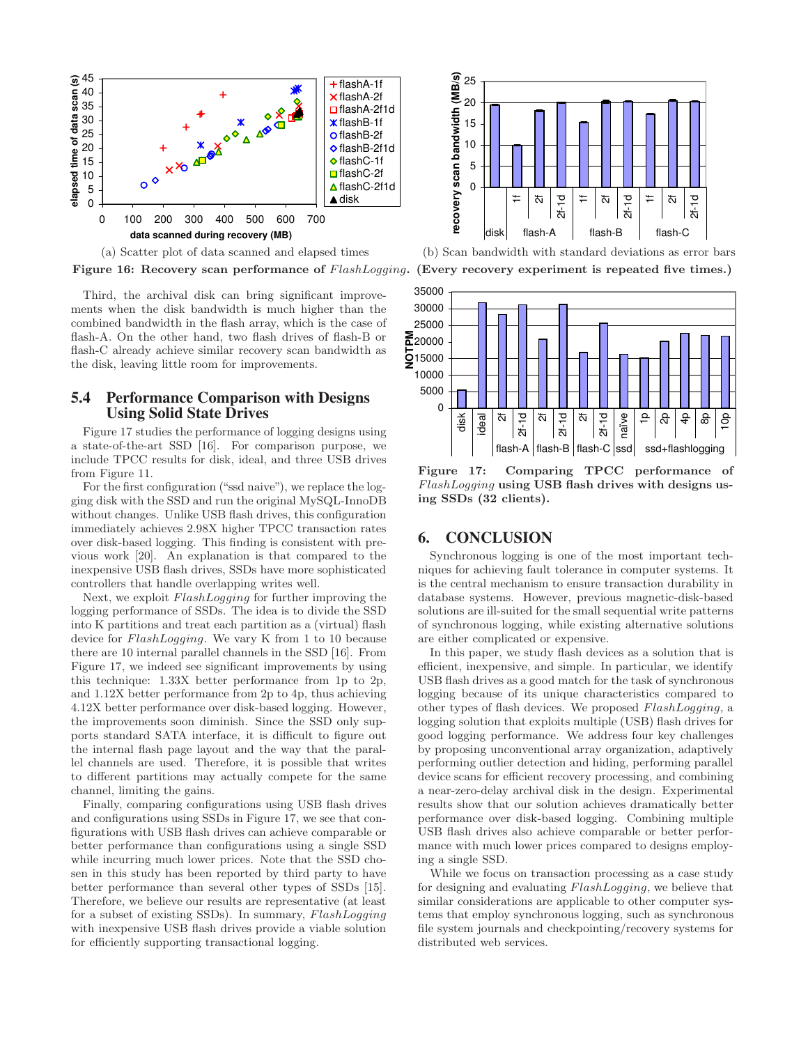

Figure 16: Recovery scan performance of FlashLogging. (Every recovery experiment is repeated five times.)

Third, the archival disk can bring significant improvements when the disk bandwidth is much higher than the combined bandwidth in the flash array, which is the case of flash-A. On the other hand, two flash drives of flash-B or flash-C already achieve similar recovery scan bandwidth as the disk, leaving little room for improvements.

#### **5.4 Performance Comparison with Designs Using Solid State Drives**

Figure 17 studies the performance of logging designs using a state-of-the-art SSD [16]. For comparison purpose, we include TPCC results for disk, ideal, and three USB drives from Figure 11.

For the first configuration ("ssd naive"), we replace the logging disk with the SSD and run the original MySQL-InnoDB without changes. Unlike USB flash drives, this configuration immediately achieves 2.98X higher TPCC transaction rates over disk-based logging. This finding is consistent with previous work [20]. An explanation is that compared to the inexpensive USB flash drives, SSDs have more sophisticated controllers that handle overlapping writes well.

Next, we exploit FlashLogging for further improving the logging performance of SSDs. The idea is to divide the SSD into K partitions and treat each partition as a (virtual) flash device for FlashLogging. We vary K from 1 to 10 because there are 10 internal parallel channels in the SSD [16]. From Figure 17, we indeed see significant improvements by using this technique: 1.33X better performance from 1p to 2p, and 1.12X better performance from 2p to 4p, thus achieving 4.12X better performance over disk-based logging. However, the improvements soon diminish. Since the SSD only supports standard SATA interface, it is difficult to figure out the internal flash page layout and the way that the parallel channels are used. Therefore, it is possible that writes to different partitions may actually compete for the same channel, limiting the gains.

Finally, comparing configurations using USB flash drives and configurations using SSDs in Figure 17, we see that configurations with USB flash drives can achieve comparable or better performance than configurations using a single SSD while incurring much lower prices. Note that the SSD chosen in this study has been reported by third party to have better performance than several other types of SSDs [15]. Therefore, we believe our results are representative (at least for a subset of existing SSDs). In summary, FlashLogging with inexpensive USB flash drives provide a viable solution for efficiently supporting transactional logging.



(a) Scatter plot of data scanned and elapsed times (b) Scan bandwidth with standard deviations as error bars



Figure 17: Comparing TPCC performance of FlashLogging using USB flash drives with designs using SSDs (32 clients).

## **6. CONCLUSION**

Synchronous logging is one of the most important techniques for achieving fault tolerance in computer systems. It is the central mechanism to ensure transaction durability in database systems. However, previous magnetic-disk-based solutions are ill-suited for the small sequential write patterns of synchronous logging, while existing alternative solutions are either complicated or expensive.

In this paper, we study flash devices as a solution that is efficient, inexpensive, and simple. In particular, we identify USB flash drives as a good match for the task of synchronous logging because of its unique characteristics compared to other types of flash devices. We proposed FlashLogging, a logging solution that exploits multiple (USB) flash drives for good logging performance. We address four key challenges by proposing unconventional array organization, adaptively performing outlier detection and hiding, performing parallel device scans for efficient recovery processing, and combining a near-zero-delay archival disk in the design. Experimental results show that our solution achieves dramatically better performance over disk-based logging. Combining multiple USB flash drives also achieve comparable or better performance with much lower prices compared to designs employing a single SSD.

While we focus on transaction processing as a case study for designing and evaluating FlashLogging, we believe that similar considerations are applicable to other computer systems that employ synchronous logging, such as synchronous file system journals and checkpointing/recovery systems for distributed web services.